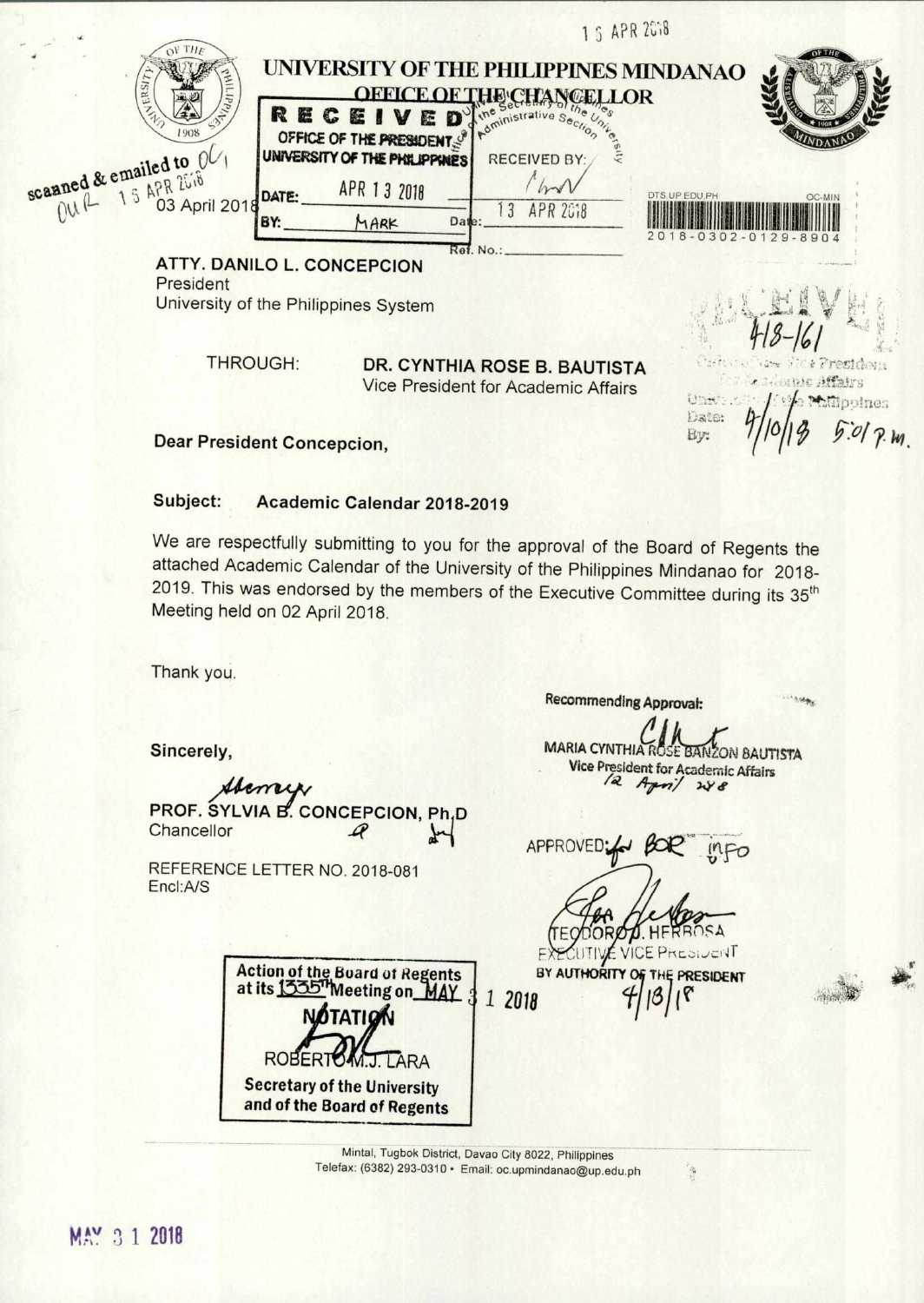|                                          | 1 5 APR 2018                                                                    |                                |
|------------------------------------------|---------------------------------------------------------------------------------|--------------------------------|
| ERSIT<br>$d_{d}$                         | UNIVERSITY OF THE PHILIPPINES MINDANAO<br>OFFICE<br>ELLOR<br>RECEIVED           |                                |
| 1908                                     | OFFICE OF THE PRESIDENT;<br>UNIVERSITY OF THE PHILIPPINES<br><b>RECEIVED BY</b> |                                |
| scanned & emailed to OU,<br>03 April 201 | APR 13 2018<br>DATE:<br>DTS.UP.EDU.PH<br>APR 2018<br>BY:<br>MARK<br>Date:       | OC-MIN                         |
|                                          | Ref. No.:<br><b>ATTY. DANILO L. CONCEPCION</b>                                  | $8 - 0302 - 01$<br>$29 - 8904$ |

President University of the Philippines System

THROUGH:

## **DR. CYNTHIA ROSE B. BAUTISTA** Vice President for Academic Affairs

 $17 - 4$ opines Date: Ey:

**Dear President Concepcion,** 

## Subject: Academic Calendar 2018-2019

We are respectfully submitting to you for the approval of the Board of Regents the attached Academic Calendar of the University of the Philippines Mindanao for 2018-2019. This was endorsed by the members of the Executive Committee during its 35<sup>th</sup> Meeting held on 02 April 2018.

Thank you.

Sincerely,

lemey PROF. SYLVIA B. CONCEPCION, Ph,D Chancellor A

REFERENCE LETTER NO. 2018-081 Encl:A/S

**Recommending Approval:** 

**MARIA CYNTHIA ZON BAUTISTA Vice President for Academic Affairs** 12 April  $248$ 

APPROVED;

**VICEP** TRIDUICAT BY AUTHORITY OF **PRESIDENT** 

**Action of the Board of Regents** at its 1335" Meeting on MAY 1 2018 **NOTATIO ROBER Secretary of the University** and of the Board of Regents

> Mintal, Tugbok District, Davao City 8022, Philippines Telefax: (6382) 293-0310 · Email: oc.upmindanao@up.edu.ph